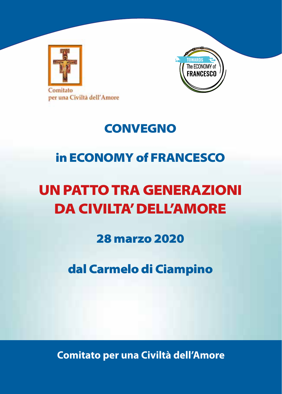



# **CONVEGNO**

# in ECONOMY of FRANCESCO

# UN PATTO TRA GENERAZIONI DA CIVILTA' DELL'AMORE

28 marzo 2020

dal Carmelo di Ciampino

**Comitato per una Civiltà dell'Amore**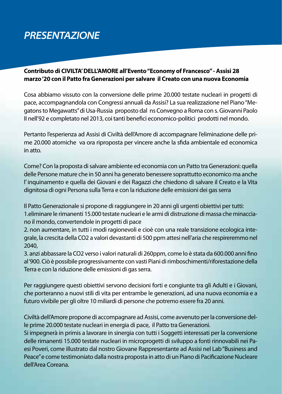# *PRESENTAZIONE*

#### **Contributo di CIVILTA' DELL'AMORE all'Evento "Economy of Francesco" - Assisi 28 marzo '20 con il Patto fra Generazioni per salvare il Creato con una nuova Economia**

Cosa abbiamo vissuto con la conversione delle prime 20.000 testate nucleari in progetti di pace, accompagnandola con Congressi annuali da Assisi? La sua realizzazione nel Piano "Megatons to Megawatts" di Usa-Russia proposto dal ns Convegno a Roma con s. Giovanni Paolo II nell'92 e completato nel 2013, coi tanti benefici economico-politici prodotti nel mondo.

Pertanto l'esperienza ad Assisi di Civiltà dell'Amore di accompagnare l'eliminazione delle prime 20.000 atomiche va ora riproposta per vincere anche la sfida ambientale ed economica in atto.

Come? Con la proposta di salvare ambiente ed economia con un Patto tra Generazioni: quella delle Persone mature che in 50 anni ha generato benessere soprattutto economico ma anche l' inquinamento e quella dei Giovani e dei Ragazzi che chiedono di salvare il Creato e la Vita dignitosa di ogni Persona sulla Terra e con la riduzione delle emissioni dei gas serra

Il Patto Generazionale si propone di raggiungere in 20 anni gli urgenti obiettivi per tutti: 1.eliminare le rimanenti 15.000 testate nucleari e le armi di distruzione di massa che minacciano il mondo, convertendole in progetti di pace

2. non aumentare, in tutti i modi ragionevoli e cioè con una reale transizione ecologica integrale, la crescita della CO2 a valori devastanti di 500 ppm attesi nell'aria che respireremmo nel 2040,

3. anzi abbassare la CO2 verso i valori naturali di 260ppm, come lo è stata da 600.000 anni fino al '900. Ciò è possibile progressivamente con vasti Piani di rimboschimenti/riforestazione della Terra e con la riduzione delle emissioni di gas serra.

Per raggiungere questi obiettivi servono decisioni forti e congiunte tra gli Adulti e i Giovani, che porteranno a nuovi stili di vita per entrambe le generazioni, ad una nuova economia e a futuro vivibile per gli oltre 10 miliardi di persone che potremo essere fra 20 anni.

Civiltà dell'Amore propone di accompagnare ad Assisi, come avvenuto per la conversione delle prime 20.000 testate nucleari in energia di pace, il Patto tra Generazioni.

Si impegnerà in primis a lavorare in sinergia con tutti i Soggetti interessati per la conversione delle rimanenti 15.000 testate nucleari in microprogetti di sviluppo a fonti rinnovabili nei Paesi Poveri, come illustrato dal nostro Giovane Rappresentante ad Assisi nel Lab "Business and Peace" e come testimoniato dalla nostra proposta in atto di un Piano di Pacificazione Nucleare dell'Area Coreana.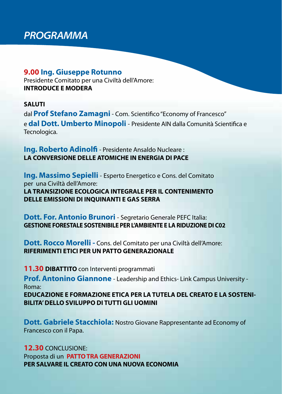# *PROGRAMMA*

### **9.00 Ing. Giuseppe Rotunno**

Presidente Comitato per una Civiltà dell'Amore: **INTRODUCE E MODERA**

### **SALUTI**

dal **Prof Stefano Zamagni** - Com. Scientifico "Economy of Francesco" e **dal Dott. Umberto Minopoli** - Presidente AIN dalla Comunità Scientifica e Tecnologica.

**Ing. Roberto Adinolfi** - Presidente Ansaldo Nucleare : **LA CONVERSIONE DELLE ATOMICHE IN ENERGIA DI PACE**

**Ing. Massimo Sepielli** - Esperto Energetico e Cons. del Comitato per una Civiltà dell'Amore: **LA TRANSIZIONE ECOLOGICA INTEGRALE PER IL CONTENIMENTO DELLE EMISSIONI DI INQUINANTI E GAS SERRA** 

## **Dott. For. Antonio Brunori** - Segretario Generale PEFC Italia: **GESTIONE FORESTALE SOSTENIBILE PER L'AMBIENTE E LA RIDUZIONE DI C02**

**Dott. Rocco Morelli -** Cons. del Comitato per una Civiltà dell'Amore: **RIFERIMENTI ETICI PER UN PATTO GENERAZIONALE**

**11.30 DIBATTITO** con Interventi programmati

**Prof. Antonino Giannone** - Leadership and Ethics- Link Campus University - Roma:

**EDUCAZIONE E FORMAZIONE ETICA PER LA TUTELA DEL CREATO E LA SOSTENI-BILITA' DELLO SVILUPPO DI TUTTI GLI UOMINI** 

**Dott. Gabriele Stacchiola:** Nostro Giovane Rappresentante ad Economy of Francesco con il Papa.

**12.30** CONCLUSIONE: Proposta di un **PATTO TRA GENERAZIONI PER SALVARE IL CREATO CON UNA NUOVA ECONOMIA**